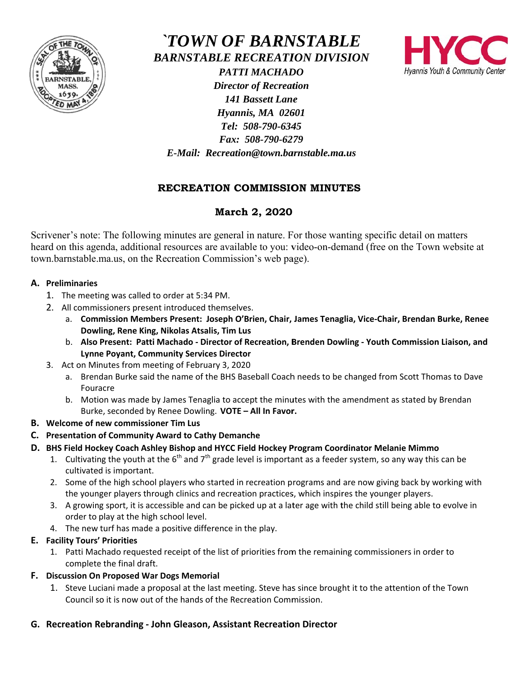

*`TOWN OF BARNSTABLE* **BARNSTABLE RECREATION DIVISION** 



**PATTI MACHADO Director of Recreation 141 Bassett Lane** Hyannis, MA 02601 Tel: 508-790-6345 Fax: 508-790-6279 E-Mail: Recreation@town.barnstable.ma.us

# RECREATION COMMISSION MINUTES

# March 2, 2020

Scrivener's note: The following minutes are general in nature. For those wanting specific detail on matters heard on this agenda, additional resources are available to you: video-on-demand (free on the Town website at town.barnstable.ma.us, on the Recreation Commission's web page).

## A. Preliminaries

- 1. The meeting was called to order at 5:34 PM.
- 2. All commissioners present introduced themselves.
	- a. Commission Members Present: Joseph O'Brien, Chair, James Tenaglia, Vice-Chair, Brendan Burke, Renee Dowling, Rene King, Nikolas Atsalis, Tim Lus
	- b. Also Present: Patti Machado Director of Recreation, Brenden Dowling Youth Commission Liaison, and **Lynne Poyant, Community Services Director**
- 3. Act on Minutes from meeting of February 3, 2020
	- a. Brendan Burke said the name of the BHS Baseball Coach needs to be changed from Scott Thomas to Dave Fouracre
	- b. Motion was made by James Tenaglia to accept the minutes with the amendment as stated by Brendan Burke, seconded by Renee Dowling. VOTE - All In Favor.
- B. Welcome of new commissioner Tim Lus
- C. Presentation of Community Award to Cathy Demanche
- D. BHS Field Hockey Coach Ashley Bishop and HYCC Field Hockey Program Coordinator Melanie Mimmo
	- 1. Cultivating the youth at the  $6^{th}$  and  $7^{th}$  grade level is important as a feeder system, so any way this can be cultivated is important.
	- 2. Some of the high school players who started in recreation programs and are now giving back by working with the younger players through clinics and recreation practices, which inspires the younger players.
	- 3. A growing sport, it is accessible and can be picked up at a later age with the child still being able to evolve in order to play at the high school level.
	- 4. The new turf has made a positive difference in the play.

## E. Facility Tours' Priorities

1. Patti Machado requested receipt of the list of priorities from the remaining commissioners in order to complete the final draft.

## F. Discussion On Proposed War Dogs Memorial

1. Steve Luciani made a proposal at the last meeting. Steve has since brought it to the attention of the Town Council so it is now out of the hands of the Recreation Commission.

## G. Recreation Rebranding - John Gleason, Assistant Recreation Director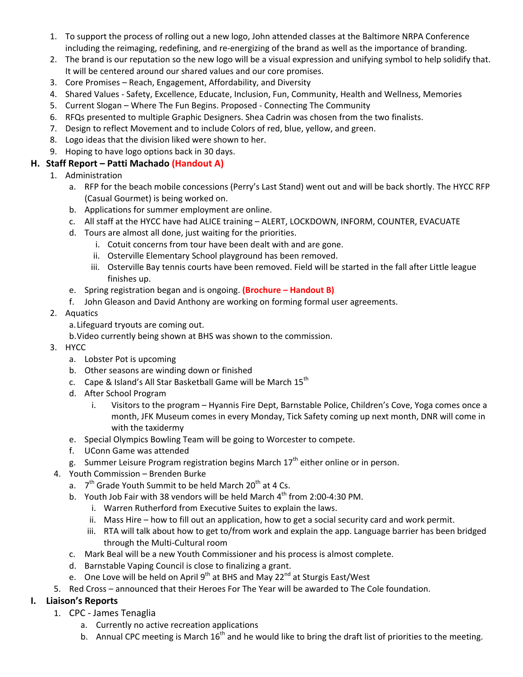- 1. To support the process of rolling out a new logo, John attended classes at the Baltimore NRPA Conference including the reimaging, redefining, and re-energizing of the brand as well as the importance of branding.
- 2. The brand is our reputation so the new logo will be a visual expression and unifying symbol to help solidify that. It will be centered around our shared values and our core promises.
- 3. Core Promises Reach, Engagement, Affordability, and Diversity
- 4. Shared Values Safety, Excellence, Educate, Inclusion, Fun, Community, Health and Wellness, Memories
- 5. Current Slogan Where The Fun Begins. Proposed Connecting The Community
- 6. RFQs presented to multiple Graphic Designers. Shea Cadrin was chosen from the two finalists.
- 7. Design to reflect Movement and to include Colors of red, blue, yellow, and green.
- 8. Logo ideas that the division liked were shown to her.
- 9. Hoping to have logo options back in 30 days.

### **H. Staff Report – Patti Machado (Handout A)**

- 1. Administration
	- a. RFP for the beach mobile concessions (Perry's Last Stand) went out and will be back shortly. The HYCC RFP (Casual Gourmet) is being worked on.
	- b. Applications for summer employment are online.
	- c. All staff at the HYCC have had ALICE training ALERT, LOCKDOWN, INFORM, COUNTER, EVACUATE
	- d. Tours are almost all done, just waiting for the priorities.
		- i. Cotuit concerns from tour have been dealt with and are gone.
		- ii. Osterville Elementary School playground has been removed.
		- iii. Osterville Bay tennis courts have been removed. Field will be started in the fall after Little league finishes up.
	- e. Spring registration began and is ongoing. **(Brochure Handout B)**
	- f. John Gleason and David Anthony are working on forming formal user agreements.
- 2. Aquatics
	- a.Lifeguard tryouts are coming out.
	- b.Video currently being shown at BHS was shown to the commission.
- 3. HYCC
	- a. Lobster Pot is upcoming
	- b. Other seasons are winding down or finished
	- c. Cape & Island's All Star Basketball Game will be March 15<sup>th</sup>
	- d. After School Program
		- i. Visitors to the program Hyannis Fire Dept, Barnstable Police, Children's Cove, Yoga comes once a month, JFK Museum comes in every Monday, Tick Safety coming up next month, DNR will come in with the taxidermy
	- e. Special Olympics Bowling Team will be going to Worcester to compete.
	- f. UConn Game was attended
	- g. Summer Leisure Program registration begins March  $17<sup>th</sup>$  either online or in person.
- 4. Youth Commission Brenden Burke
	- a.  $7<sup>th</sup>$  Grade Youth Summit to be held March 20<sup>th</sup> at 4 Cs.
	- b. Youth Job Fair with 38 vendors will be held March  $4<sup>th</sup>$  from 2:00-4:30 PM.
		- i. Warren Rutherford from Executive Suites to explain the laws.
		- ii. Mass Hire how to fill out an application, how to get a social security card and work permit.
		- iii. RTA will talk about how to get to/from work and explain the app. Language barrier has been bridged through the Multi-Cultural room
	- c. Mark Beal will be a new Youth Commissioner and his process is almost complete.
	- d. Barnstable Vaping Council is close to finalizing a grant.
	- e. One Love will be held on April  $9^{th}$  at BHS and May 22 $^{nd}$  at Sturgis East/West
- 5. Red Cross announced that their Heroes For The Year will be awarded to The Cole foundation.

## **I. Liaison's Reports**

- 1. CPC James Tenaglia
	- a. Currently no active recreation applications
	- b. Annual CPC meeting is March  $16<sup>th</sup>$  and he would like to bring the draft list of priorities to the meeting.